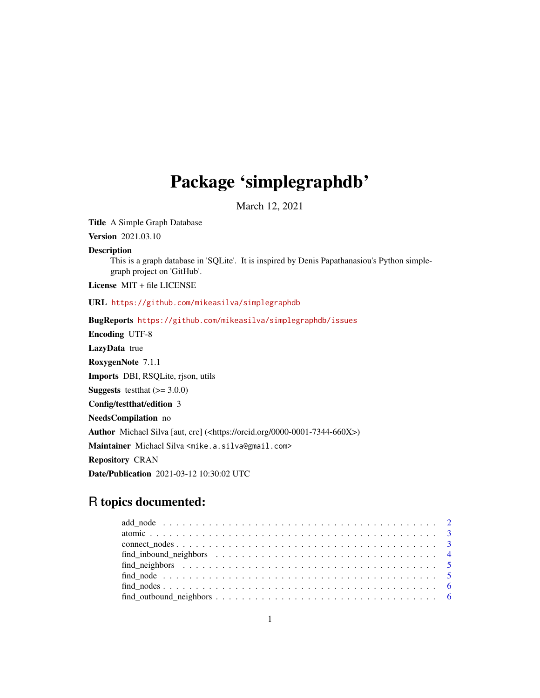# Package 'simplegraphdb'

March 12, 2021

Title A Simple Graph Database

Version 2021.03.10

#### Description

This is a graph database in 'SQLite'. It is inspired by Denis Papathanasiou's Python simplegraph project on 'GitHub'.

License MIT + file LICENSE

URL <https://github.com/mikeasilva/simplegraphdb>

BugReports <https://github.com/mikeasilva/simplegraphdb/issues> Encoding UTF-8

LazyData true RoxygenNote 7.1.1 Imports DBI, RSQLite, rjson, utils **Suggests** test that  $(>= 3.0.0)$ Config/testthat/edition 3 NeedsCompilation no Author Michael Silva [aut, cre] (<https://orcid.org/0000-0001-7344-660X>) Maintainer Michael Silva <mike.a.silva@gmail.com> Repository CRAN Date/Publication 2021-03-12 10:30:02 UTC

# R topics documented:

| $find\_outbound\_neighbors \ldots \ldots \ldots \ldots \ldots \ldots \ldots \ldots \ldots \ldots \ldots \ldots \ldots$ |  |
|------------------------------------------------------------------------------------------------------------------------|--|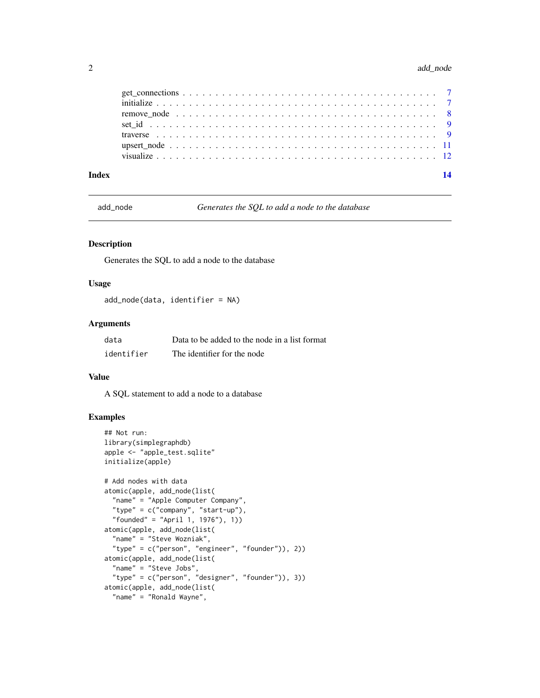#### <span id="page-1-0"></span>2 add\_node and contact the contact of the contact of the contact of the contact of the contact of the contact of the contact of the contact of the contact of the contact of the contact of the contact of the contact of the

| Index | 14 |
|-------|----|
|       |    |
|       |    |
|       |    |
|       |    |
|       |    |
|       |    |
|       |    |

add\_node *Generates the SQL to add a node to the database*

#### Description

Generates the SQL to add a node to the database

#### Usage

add\_node(data, identifier = NA)

#### Arguments

| data       | Data to be added to the node in a list format |
|------------|-----------------------------------------------|
| identifier | The identifier for the node                   |

# Value

A SQL statement to add a node to a database

```
## Not run:
library(simplegraphdb)
apple <- "apple_test.sqlite"
initialize(apple)
# Add nodes with data
atomic(apple, add_node(list(
  "name" = "Apple Computer Company",
 "type" = c("company", "start-up"),
 "founded" = "April 1, 1976"), 1))
atomic(apple, add_node(list(
  "name" = "Steve Wozniak",
  "type" = c("person", "engineer", "founder")), 2))
atomic(apple, add_node(list(
  "name" = "Steve Jobs",
  "type" = c("person", "designer", "founder")), 3))
atomic(apple, add_node(list(
  "name" = "Ronald Wayne",
```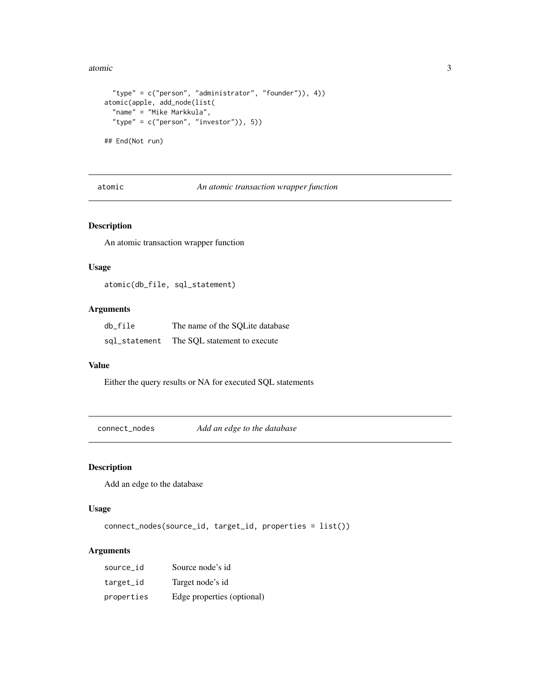<span id="page-2-0"></span>atomic 3

```
"type" = c("person", "administrator", "founder")), 4))
atomic(apple, add_node(list(
  "name" = "Mike Markkula",
  "type" = c("person", "investor")), 5))
```
## End(Not run)

atomic *An atomic transaction wrapper function*

#### Description

An atomic transaction wrapper function

# Usage

atomic(db\_file, sql\_statement)

#### Arguments

| db file       | The name of the SOLite database |
|---------------|---------------------------------|
| sql_statement | The SQL statement to execute    |

#### Value

Either the query results or NA for executed SQL statements

connect\_nodes *Add an edge to the database*

#### Description

Add an edge to the database

# Usage

connect\_nodes(source\_id, target\_id, properties = list())

# Arguments

| source id  | Source node's id           |
|------------|----------------------------|
| target_id  | Target node's id           |
| properties | Edge properties (optional) |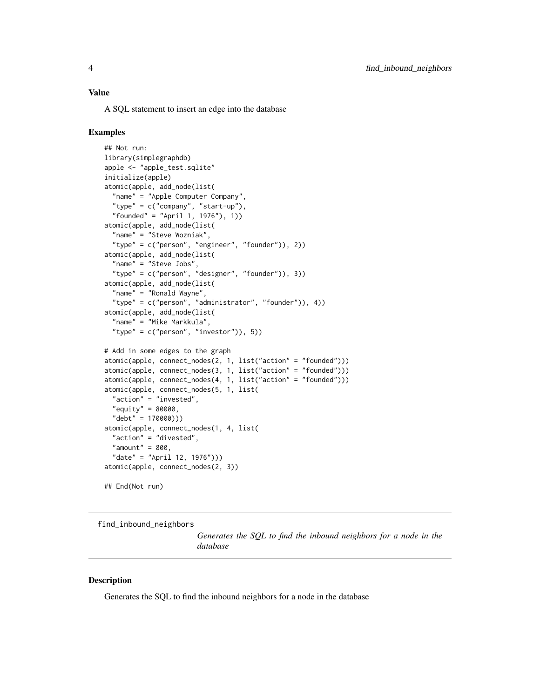#### <span id="page-3-0"></span>Value

A SQL statement to insert an edge into the database

#### Examples

```
## Not run:
library(simplegraphdb)
apple <- "apple_test.sqlite"
initialize(apple)
atomic(apple, add_node(list(
 "name" = "Apple Computer Company",
  "type" = c("company", "start-up"),"founded" = "April 1, 1976"), 1))
atomic(apple, add_node(list(
  "name" = "Steve Wozniak",
  "type" = c("person", "engineer", "founder")), 2))
atomic(apple, add_node(list(
  "name" = "Steve Jobs",
  "type" = c("person", "designer", "founder")), 3))
atomic(apple, add_node(list(
  "name" = "Ronald Wayne",
  "type" = c("person", "administrator", "founder")), 4))
atomic(apple, add_node(list(
  "name" = "Mike Markkula",
  "type" = c("person", "investor")), 5))
# Add in some edges to the graph
atomic(apple, connect_nodes(2, 1, list("action" = "founded")))
atomic(apple, connect_nodes(3, 1, list("action" = "founded")))
atomic(apple, connect_nodes(4, 1, list("action" = "founded")))
atomic(apple, connect_nodes(5, 1, list(
 "action" = "invested",
  "equity" = 80000,
  "debt" = 170000)))
atomic(apple, connect_nodes(1, 4, list(
  "action" = "divested",
  "amount" = 800,"date" = "April 12, 1976")))
atomic(apple, connect_nodes(2, 3))
## End(Not run)
```
find\_inbound\_neighbors

*Generates the SQL to find the inbound neighbors for a node in the database*

#### **Description**

Generates the SQL to find the inbound neighbors for a node in the database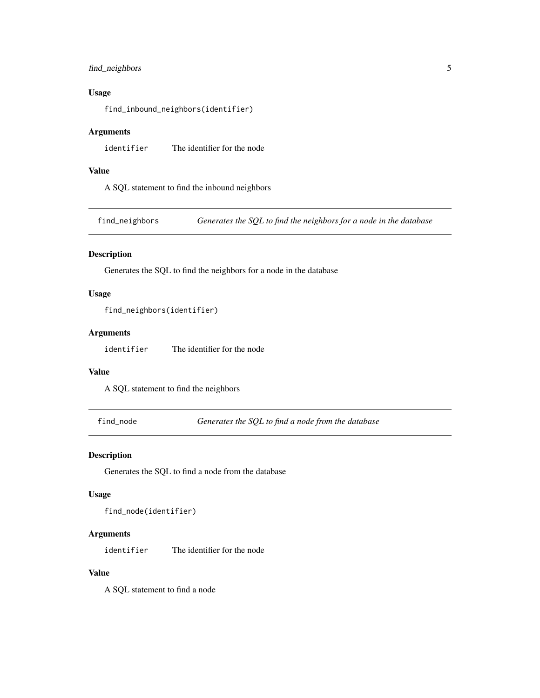# <span id="page-4-0"></span>find\_neighbors 5

# Usage

find\_inbound\_neighbors(identifier)

# Arguments

identifier The identifier for the node

# Value

A SQL statement to find the inbound neighbors

find\_neighbors *Generates the SQL to find the neighbors for a node in the database*

# Description

Generates the SQL to find the neighbors for a node in the database

#### Usage

```
find_neighbors(identifier)
```
# Arguments

identifier The identifier for the node

#### Value

A SQL statement to find the neighbors

find\_node *Generates the SQL to find a node from the database*

# Description

Generates the SQL to find a node from the database

### Usage

find\_node(identifier)

#### Arguments

identifier The identifier for the node

# Value

A SQL statement to find a node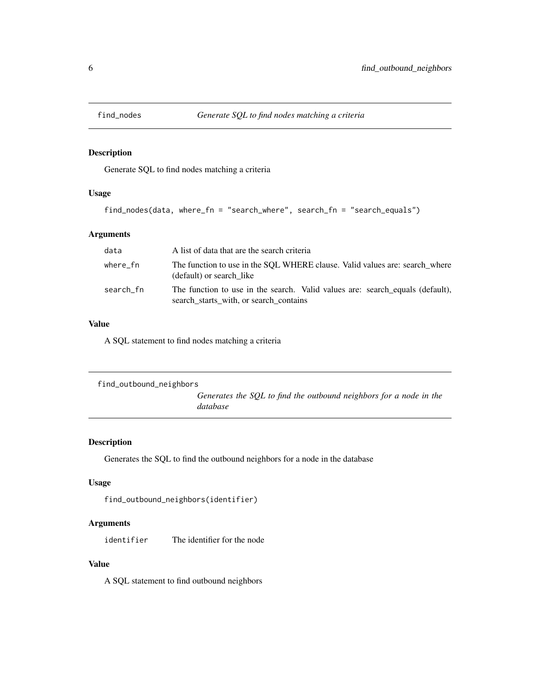<span id="page-5-0"></span>

Generate SQL to find nodes matching a criteria

# Usage

```
find_nodes(data, where_fn = "search_where", search_fn = "search_equals")
```
### Arguments

| data      | A list of data that are the search criteria                                                                             |
|-----------|-------------------------------------------------------------------------------------------------------------------------|
| where fn  | The function to use in the SQL WHERE clause. Valid values are: search_where<br>(default) or search like                 |
| search_fn | The function to use in the search. Valid values are: search equals (default),<br>search starts with, or search contains |

# Value

A SQL statement to find nodes matching a criteria

```
find_outbound_neighbors
                          Generates the SQL to find the outbound neighbors for a node in the
                         database
```
# Description

Generates the SQL to find the outbound neighbors for a node in the database

#### Usage

```
find_outbound_neighbors(identifier)
```
# Arguments

identifier The identifier for the node

# Value

A SQL statement to find outbound neighbors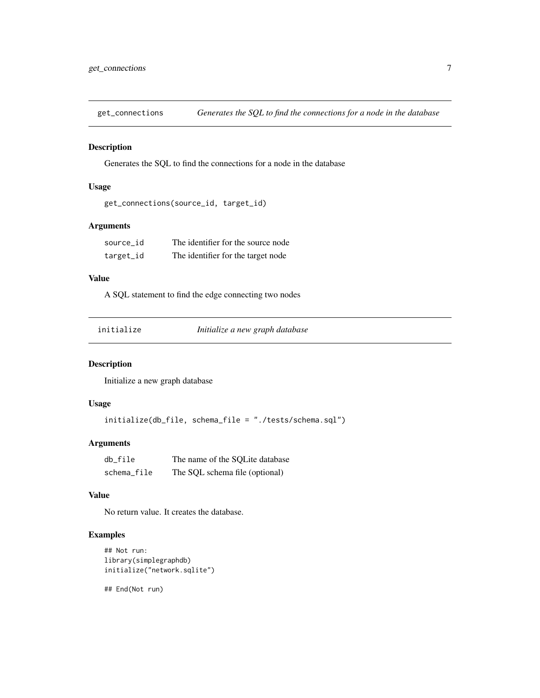<span id="page-6-0"></span>

Generates the SQL to find the connections for a node in the database

#### Usage

```
get_connections(source_id, target_id)
```
# Arguments

| source id | The identifier for the source node |
|-----------|------------------------------------|
| target_id | The identifier for the target node |

# Value

A SQL statement to find the edge connecting two nodes

| initialize |  |
|------------|--|
|            |  |
|            |  |
|            |  |

initialize *Initialize a new graph database*

# Description

Initialize a new graph database

# Usage

initialize(db\_file, schema\_file = "./tests/schema.sql")

# Arguments

| db file     | The name of the SOLite database |
|-------------|---------------------------------|
| schema_file | The SQL schema file (optional)  |

#### Value

No return value. It creates the database.

#### Examples

```
## Not run:
library(simplegraphdb)
initialize("network.sqlite")
```
## End(Not run)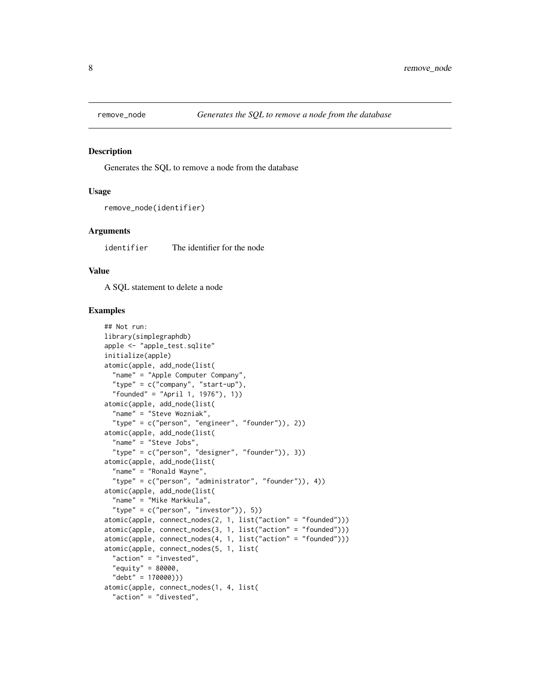<span id="page-7-0"></span>

Generates the SQL to remove a node from the database

#### Usage

```
remove_node(identifier)
```
#### Arguments

identifier The identifier for the node

### Value

A SQL statement to delete a node

```
## Not run:
library(simplegraphdb)
apple <- "apple_test.sqlite"
initialize(apple)
atomic(apple, add_node(list(
 "name" = "Apple Computer Company",
  "type" = c("company", "start-up"),
  "founded" = "April 1, 1976"), 1))
atomic(apple, add_node(list(
  "name" = "Steve Wozniak",
  "type" = c("person", "engineer", "founder")), 2))
atomic(apple, add_node(list(
  "name" = "Steve Jobs",
  "type" = c("person", "designer", "founder")), 3))
atomic(apple, add_node(list(
  "name" = "Ronald Wayne",
  "type" = c("person", "administrator", "founder")), 4))
atomic(apple, add_node(list(
  "name" = "Mike Markkula",
  "type" = c("person", "investor")), 5))
atomic(apple, connect_nodes(2, 1, list("action" = "founded")))
atomic(apple, connect_nodes(3, 1, list("action" = "founded")))
atomic(apple, connect_nodes(4, 1, list("action" = "founded")))
atomic(apple, connect_nodes(5, 1, list(
  "action" = "invested",
  "equity" = 80000,
  "debt" = 170000)))
atomic(apple, connect_nodes(1, 4, list(
  "action" = "divested",
```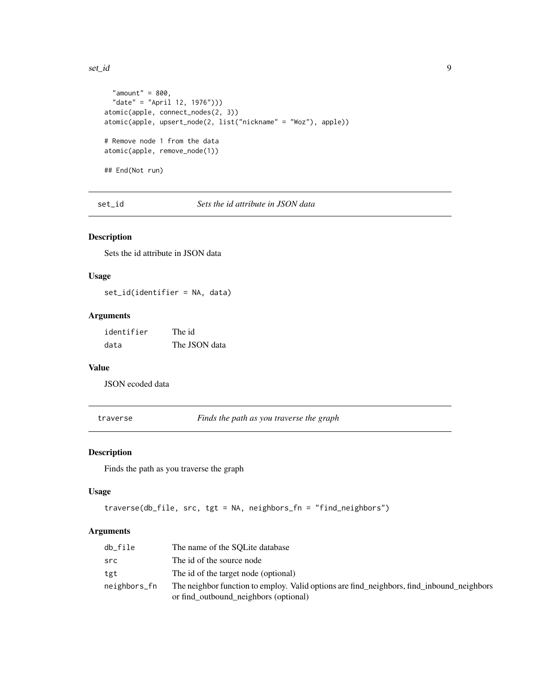#### <span id="page-8-0"></span>set\_id 9

```
"amount" = 800,"date" = "April 12, 1976")))
atomic(apple, connect_nodes(2, 3))
atomic(apple, upsert_node(2, list("nickname" = "Woz"), apple))
# Remove node 1 from the data
atomic(apple, remove_node(1))
## End(Not run)
```
set\_id *Sets the id attribute in JSON data*

# Description

Sets the id attribute in JSON data

# Usage

set\_id(identifier = NA, data)

# Arguments

| identifier | The id        |
|------------|---------------|
| data       | The JSON data |

# Value

JSON ecoded data

traverse *Finds the path as you traverse the graph*

# Description

Finds the path as you traverse the graph

# Usage

```
traverse(db_file, src, tgt = NA, neighbors_fn = "find_neighbors")
```
# Arguments

| db file      | The name of the SOLite database                                                           |
|--------------|-------------------------------------------------------------------------------------------|
| src          | The id of the source node                                                                 |
| tgt          | The id of the target node (optional)                                                      |
| neighbors_fn | The neighbor function to employ. Valid options are find_neighbors, find_inbound_neighbors |
|              | or find_outbound_neighbors (optional)                                                     |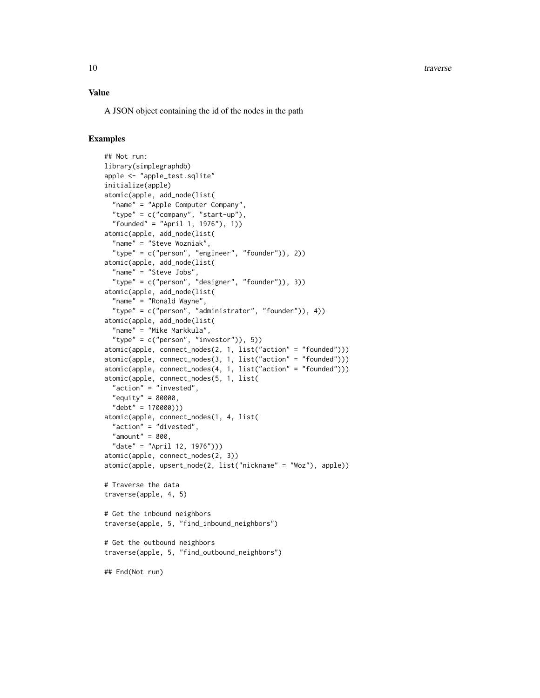10 traverse

# Value

A JSON object containing the id of the nodes in the path

```
## Not run:
library(simplegraphdb)
apple <- "apple_test.sqlite"
initialize(apple)
atomic(apple, add_node(list(
  "name" = "Apple Computer Company",
  "type" = c("company", "start-up"),
  "founded" = "April 1, 1976"), 1))
atomic(apple, add_node(list(
  "name" = "Steve Wozniak",
  "type" = c("person", "engineer", "founder")), 2))
atomic(apple, add_node(list(
  "name" = "Steve Jobs",
  "type" = c("person", "designer", "founder")), 3))
atomic(apple, add_node(list(
  "name" = "Ronald Wayne",
  "type" = c("person", "administrator", "founder")), 4))
atomic(apple, add_node(list(
  "name" = "Mike Markkula",
  "type" = c("person", "investor")), 5))
atomic(apple, connect_nodes(2, 1, list("action" = "founded")))
atomic(apple, connect_nodes(3, 1, list("action" = "founded")))
atomic(apple, connect_nodes(4, 1, list("action" = "founded")))
atomic(apple, connect_nodes(5, 1, list(
  "action" = "invested",
  "equity" = 80000,
  "debt" = 170000)))
atomic(apple, connect_nodes(1, 4, list(
  "action" = "divested",
  "amount" = 800,
  "date" = "April 12, 1976")))
atomic(apple, connect_nodes(2, 3))
atomic(apple, upsert_node(2, list("nickname" = "Woz"), apple))
# Traverse the data
traverse(apple, 4, 5)
# Get the inbound neighbors
traverse(apple, 5, "find_inbound_neighbors")
# Get the outbound neighbors
traverse(apple, 5, "find_outbound_neighbors")
## End(Not run)
```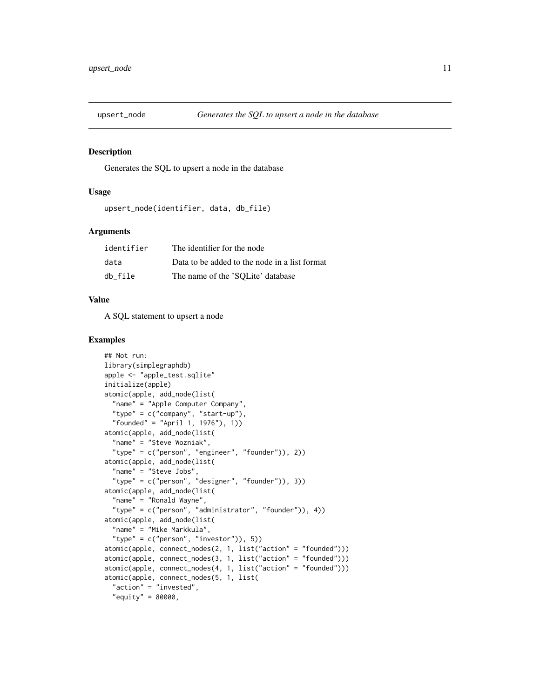<span id="page-10-0"></span>

Generates the SQL to upsert a node in the database

#### Usage

```
upsert_node(identifier, data, db_file)
```
#### Arguments

| identifier | The identifier for the node                   |
|------------|-----------------------------------------------|
| data       | Data to be added to the node in a list format |
| db file    | The name of the 'SQLite' database             |

#### Value

A SQL statement to upsert a node

```
## Not run:
library(simplegraphdb)
apple <- "apple_test.sqlite"
initialize(apple)
atomic(apple, add_node(list(
  "name" = "Apple Computer Company",
  "type" = c("company", "start-up"),
  "founded" = "April 1, 1976"), 1))
atomic(apple, add_node(list(
  "name" = "Steve Wozniak",
  "type" = c("person", "engineer", "founder")), 2))
atomic(apple, add_node(list(
  "name" = "Steve Jobs",
  "type" = c("person", "designer", "founder")), 3))
atomic(apple, add_node(list(
  "name" = "Ronald Wayne",
  "type" = c("person", "administrator", "founder")), 4))
atomic(apple, add_node(list(
  "name" = "Mike Markkula",
  "type" = c("person", "investor")), 5))
atomic(apple, connect_nodes(2, 1, list("action" = "founded")))
atomic(apple, connect_nodes(3, 1, list("action" = "founded")))
atomic(apple, connect_nodes(4, 1, list("action" = "founded")))
atomic(apple, connect_nodes(5, 1, list(
  "action" = "invested",
  "equity" = 80000,
```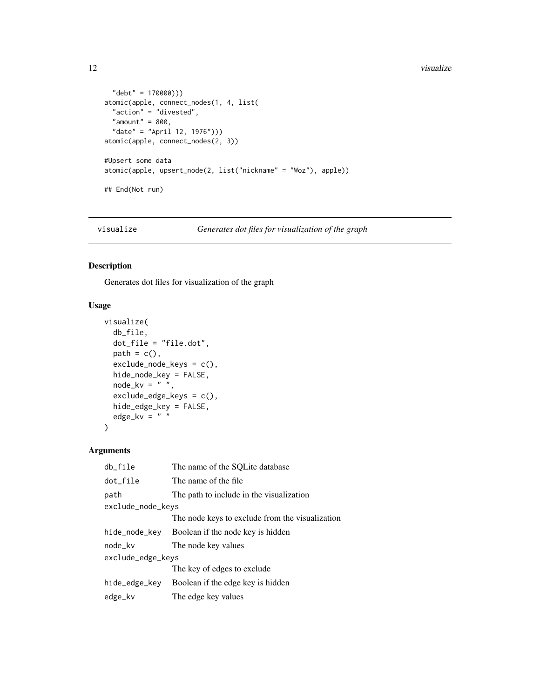```
"debt" = 170000)))
atomic(apple, connect_nodes(1, 4, list(
  "action" = "divested",
  "amount" = 800,
  "date" = "April 12, 1976")))
atomic(apple, connect_nodes(2, 3))
#Upsert some data
atomic(apple, upsert_node(2, list("nickname" = "Woz"), apple))
## End(Not run)
```
visualize *Generates dot files for visualization of the graph*

# Description

Generates dot files for visualization of the graph

# Usage

```
visualize(
 db_file,
  dot_file = "file.dot",
 path = c(),
  exclude_node_keys = c(),
 hide_node_key = FALSE,
 node_kv = " " ,exclude_edge_keys = c(),
 hide_edge_key = FALSE,
 edge_kv = " ")
```
# Arguments

| db_file           | The name of the SQLite database                 |
|-------------------|-------------------------------------------------|
| dot_file          | The name of the file                            |
| path              | The path to include in the visualization        |
| exclude_node_keys |                                                 |
|                   | The node keys to exclude from the visualization |
| hide_node_key     | Boolean if the node key is hidden               |
| node_kv           | The node key values                             |
| exclude_edge_keys |                                                 |
|                   | The key of edges to exclude                     |
| hide_edge_key     | Boolean if the edge key is hidden               |
| edge_kv           | The edge key values                             |

<span id="page-11-0"></span>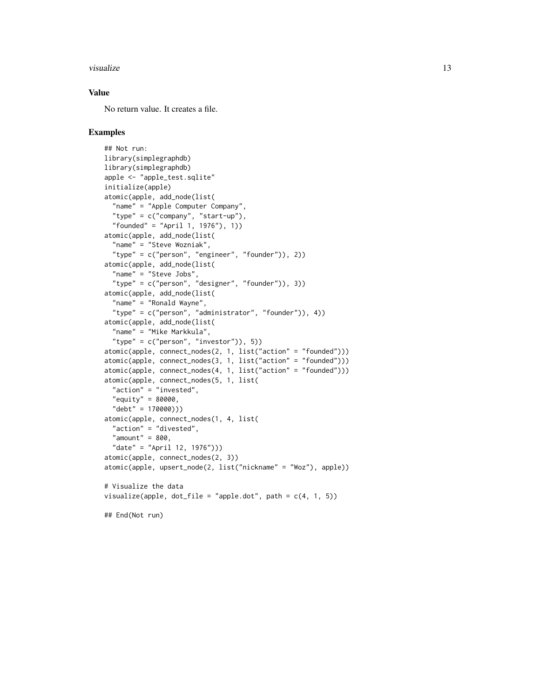#### visualize the contract of the contract of the contract of the contract of the contract of the contract of the contract of the contract of the contract of the contract of the contract of the contract of the contract of the

# Value

No return value. It creates a file.

```
## Not run:
library(simplegraphdb)
library(simplegraphdb)
apple <- "apple_test.sqlite"
initialize(apple)
atomic(apple, add_node(list(
  "name" = "Apple Computer Company",
  "type" = c("company", "start-up"),
  "founded" = "April 1, 1976"), 1))
atomic(apple, add_node(list(
  "name" = "Steve Wozniak",
  "type" = c("person", "engineer", "founder")), 2))
atomic(apple, add_node(list(
  "name" = "Steve Jobs",
  "type" = c("person", "designer", "founder")), 3))
atomic(apple, add_node(list(
  "name" = "Ronald Wayne",
  "type" = c("person", "administrator", "founder")), 4))
atomic(apple, add_node(list(
  "name" = "Mike Markkula",
  "type" = c("person", "investor")), 5))
atomic(apple, connect_nodes(2, 1, list("action" = "founded")))
atomic(apple, connect_nodes(3, 1, list("action" = "founded")))
atomic(apple, connect_nodes(4, 1, list("action" = "founded")))
atomic(apple, connect_nodes(5, 1, list(
  "action" = "invested",
  "equity" = 80000,
  "debt" = 170000)))
atomic(apple, connect_nodes(1, 4, list(
  "action" = "divested",
  "amount" = 800,"date" = "April 12, 1976")))
atomic(apple, connect_nodes(2, 3))
atomic(apple, upsert_node(2, list("nickname" = "Woz"), apple))
# Visualize the data
visualize(apple, dot_file = "apple.dot", path = c(4, 1, 5))## End(Not run)
```